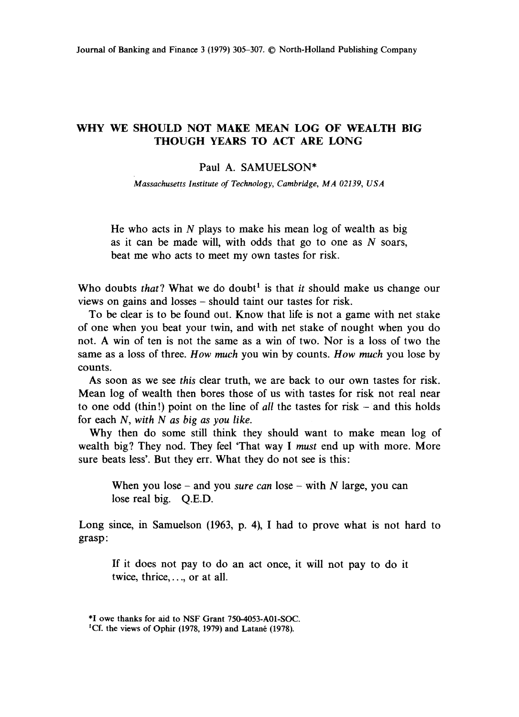## WHY WE SHOULD NOT MAKE MEAN LOG OF WEALTH BIG THOUGH YEARS TO ACT ARE LONG

## **Paul A. SAMUELSON\***

*Massachusetts Institute of Technology, Cambridge, MA 02139, USA* 

He who acts in  $N$  plays to make his mean log of wealth as big as it can be made will, with odds that go to one as  $N$  soars, beat me who acts to meet my own tastes for risk.

Who doubts *that*? What we do doubt<sup>1</sup> is that *it* should make us change our views on gains and losses - should taint our tastes for risk.

To be clear is to be found out. Know that life is not a game with net stake of one when you beat your twin, and with net stake of nought when you do not. A win of ten is not the same as a win of two. Nor is a loss of two the same as a loss of three. *How much* you win by counts. *How much* you lose by counts.

As soon as we see *this* clear truth, we are back to our own tastes for risk. Mean log of wealth then bores those of us with tastes for risk not real near to one odd (thin!) point on the line of *all* the tastes for risk – and this holds for each *N, with N as big as you like.* 

Why then do some still think they should want to make mean log of wealth big? They nod. They feel 'That way I *must* end up with more. More sure beats less'. But they err. What they do not see is this:

When you lose – and you *sure can* lose – with  $N$  large, you can lose real big. Q.E.D.

Long since, in Samuelson (1963, p. 4), I had to prove what is not hard to grasp:

If it does not pay to do an act once, it will not pay to do it twice, thrice,..., or at all.

<sup>\*</sup>I owe thanks for aid to NSF Grant 750-4053-A01-SOC.

<sup>&</sup>lt;sup>1</sup>Cf. the views of Ophir (1978, 1979) and Latané (1978).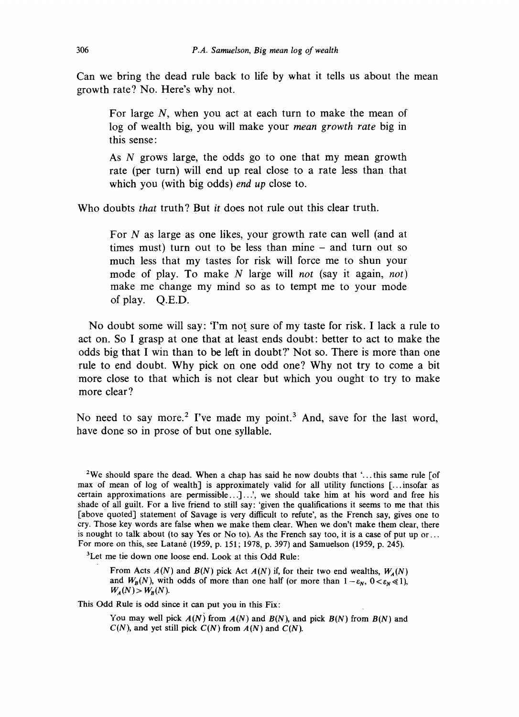Can we bring the dead rule back to life by what it tells us about the mean growth rate? No. Here's why not.

For large N, when you act at each turn to make the mean of log of wealth big, you will make your *mean growth rate* big in this sense:

As N grows large, the odds go to one that my mean growth rate (per turn) will end up real close to a rate less than that which you (with big odds) *end up* close to.

Who doubts *that* truth? But *it* does not rule out this clear truth.

For N as large as one likes, your growth rate can well (and at times must) turn out to be less than mine - and turn out so much less that my tastes for risk will force me to shun your mode of play. To make N large will *not* (say it again, *not*) make me change my mind so as to tempt me to your mode of play. Q.E.D.

No doubt some will say: 'I'm not sure of my taste for risk. I lack a rule to act on. So I grasp at one that at least ends doubt: better to act to make the odds big that I win than to be left in doubt?' Not so. There is more than one rule to end doubt. Why pick on one odd one? Why not try to come a bit more close to that which is not clear but which you ought to try to make more clear?

No need to say more.<sup>2</sup> I've made my point.<sup>3</sup> And, save for the last word, have done so in prose of but one syllable.

<sup>2</sup>We should spare the dead. When a chap has said he now doubts that '... this same rule [of max of mean of log of wealth] is approximately valid for all utility functions  $[\dots]$  insofar as certain approximations are permissible...]...', we should take him at his word and free his shade of all guilt. For a live friend to still say: 'given the qualifications it seems to me that this [above quoted] statement of Savage is very difficult to refute', as the French say, gives one to cry. Those key words are false when we make them clear. When we don't make them clear, there is nought to talk about (to say Yes or No to). As the French say too, it is a case of put up or... For more on this, see Latané (1959, p. 151; 1978, p. 397) and Samuelson (1959, p. 245).

<sup>3</sup>Let me tie down one loose end. Look at this Odd Rule:

From Acts  $A(N)$  and  $B(N)$  pick Act  $A(N)$  if, for their two end wealths,  $W_A(N)$ and  $W_B(N)$ , with odds of more than one half (or more than  $1-\varepsilon_N$ ,  $0<\varepsilon_N\leq 1$ ),  $W_A(N) > W_B(N)$ .

This Odd Rule is odd since it can put you in this Fix:

You may well pick  $A(N)$  from  $A(N)$  and  $B(N)$ , and pick  $B(N)$  from  $B(N)$  and  $C(N)$ , and yet still pick  $C(N)$  from  $A(N)$  and  $C(N)$ .